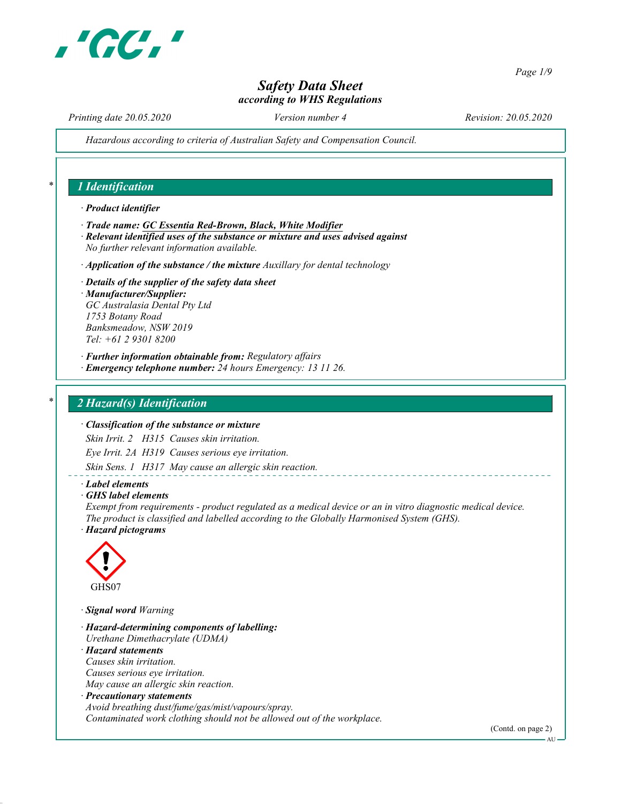

Page 1/9

## Safety Data Sheet according to WHS Regulations

Printing date 20.05.2020 Version number 4 Revision: 20.05.2020

Hazardous according to criteria of Australian Safety and Compensation Council.

## 1 Identification

#### · Product identifier

- · Trade name: GC Essentia Red-Brown, Black, White Modifier
- · Relevant identified uses of the substance or mixture and uses advised against No further relevant information available.
- $\cdot$  Application of the substance / the mixture Auxillary for dental technology

#### · Details of the supplier of the safety data sheet · Manufacturer/Supplier: GC Australasia Dental Pty Ltd 1753 Botany Road Banksmeadow, NSW 2019 Tel: +61 2 9301 8200

- · Further information obtainable from: Regulatory affairs
- · Emergency telephone number: 24 hours Emergency: 13 11 26.

### 2 Hazard(s) Identification

### · Classification of the substance or mixture

Skin Irrit. 2 H315 Causes skin irritation.

Eye Irrit. 2A H319 Causes serious eye irritation.

Skin Sens. 1 H317 May cause an allergic skin reaction.

#### · Label elements

· GHS label elements

Exempt from requirements - product regulated as a medical device or an in vitro diagnostic medical device. The product is classified and labelled according to the Globally Harmonised System (GHS). · Hazard pictograms



· Signal word Warning

· Hazard-determining components of labelling: Urethane Dimethacrylate (UDMA) · Hazard statements Causes skin irritation. Causes serious eye irritation. May cause an allergic skin reaction. · Precautionary statements

Avoid breathing dust/fume/gas/mist/vapours/spray. Contaminated work clothing should not be allowed out of the workplace.

(Contd. on page 2)

AU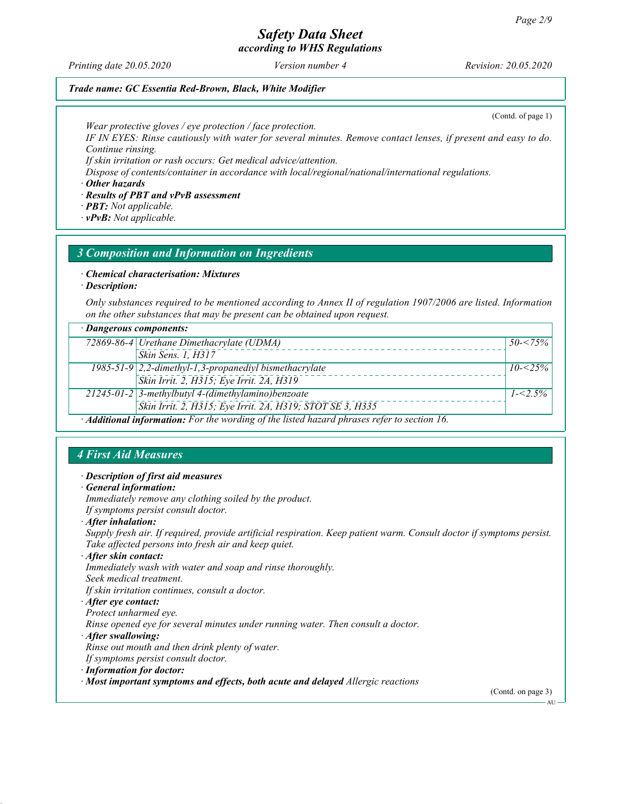according to WHS Regulations

Printing date 20.05.2020 Version number 4 Revision: 20.05.2020

(Contd. of page 1)

### Trade name: GC Essentia Red-Brown, Black, White Modifier

Wear protective gloves / eye protection / face protection.

IF IN EYES: Rinse cautiously with water for several minutes. Remove contact lenses, if present and easy to do. Continue rinsing.

If skin irritation or rash occurs: Get medical advice/attention.

Dispose of contents/container in accordance with local/regional/national/international regulations.

· Other hazards

· Results of PBT and vPvB assessment

· PBT: Not applicable.

· vPvB: Not applicable.

### 3 Composition and Information on Ingredients

· Chemical characterisation: Mixtures

· Description:

Only substances required to be mentioned according to Annex II of regulation 1907/2006 are listed. Information on the other substances that may be present can be obtained upon request.

### · Dangerous components:

|                                                                                                   | 72869-86-4 Urethane Dimethacrylate (UDMA)                 | $150 - 75\%$ |  |
|---------------------------------------------------------------------------------------------------|-----------------------------------------------------------|--------------|--|
|                                                                                                   | Skin Sens. 1, H317                                        |              |  |
|                                                                                                   | $1985-51-9$ 2,2-dimethyl-1,3-propanediyl bismethacrylate  | $10 - 25\%$  |  |
|                                                                                                   | Skin Irrit. 2, H315; Eye Irrit. 2A, H319                  |              |  |
|                                                                                                   | $21245-01-2$ 3-methylbutyl 4-(dimethylamino)benzoate      | $1 - 2.5\%$  |  |
|                                                                                                   | Skin Irrit. 2, H315; Eye Irrit. 2A, H319; STOT SE 3, H335 |              |  |
| $\cdot$ Additional information: For the wording of the listed hazard phrases refer to section 16. |                                                           |              |  |

### 4 First Aid Measures

#### · Description of first aid measures

General information:

Immediately remove any clothing soiled by the product. If symptoms persist consult doctor.

· After inhalation:

Supply fresh air. If required, provide artificial respiration. Keep patient warm. Consult doctor if symptoms persist. Take affected persons into fresh air and keep quiet.

· After skin contact:

Immediately wash with water and soap and rinse thoroughly.

Seek medical treatment.

If skin irritation continues, consult a doctor.

### · After eye contact:

Protect unharmed eye.

Rinse opened eye for several minutes under running water. Then consult a doctor.

· After swallowing:

Rinse out mouth and then drink plenty of water.

If symptoms persist consult doctor.

· Information for doctor:

· Most important symptoms and effects, both acute and delayed Allergic reactions

(Contd. on page 3)

AU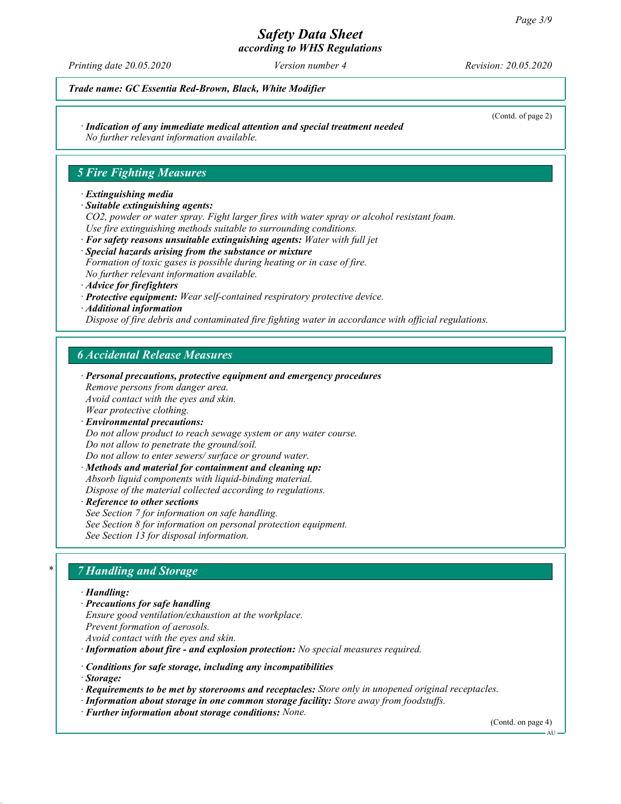according to WHS Regulations

Printing date 20.05.2020 Version number 4 Revision: 20.05.2020

(Contd. of page 2)

Trade name: GC Essentia Red-Brown, Black, White Modifier

· Indication of any immediate medical attention and special treatment needed

No further relevant information available.

## 5 Fire Fighting Measures

### · Extinguishing media

· Suitable extinguishing agents:

CO2, powder or water spray. Fight larger fires with water spray or alcohol resistant foam. Use fire extinguishing methods suitable to surrounding conditions.

- · For safety reasons unsuitable extinguishing agents: Water with full jet · Special hazards arising from the substance or mixture Formation of toxic gases is possible during heating or in case of fire.
- No further relevant information available.
- · Advice for firefighters
- · Protective equipment: Wear self-contained respiratory protective device.
- · Additional information

Dispose of fire debris and contaminated fire fighting water in accordance with official regulations.

## 6 Accidental Release Measures

- · Personal precautions, protective equipment and emergency procedures Remove persons from danger area. Avoid contact with the eyes and skin. Wear protective clothing. · Environmental precautions:
- Do not allow product to reach sewage system or any water course. Do not allow to penetrate the ground/soil.

Do not allow to enter sewers/ surface or ground water.

· Methods and material for containment and cleaning up: Absorb liquid components with liquid-binding material. Dispose of the material collected according to regulations.

**Reference to other sections** 

See Section 7 for information on safe handling. See Section 8 for information on personal protection equipment. See Section 13 for disposal information.

## **7 Handling and Storage**

### · Handling:

- · Precautions for safe handling Ensure good ventilation/exhaustion at the workplace. Prevent formation of aerosols. Avoid contact with the eyes and skin.
- · Information about fire and explosion protection: No special measures required.
- · Conditions for safe storage, including any incompatibilities
- · Storage:
- · Requirements to be met by storerooms and receptacles: Store only in unopened original receptacles.
- · Information about storage in one common storage facility: Store away from foodstuffs.
- · Further information about storage conditions: None.

(Contd. on page 4)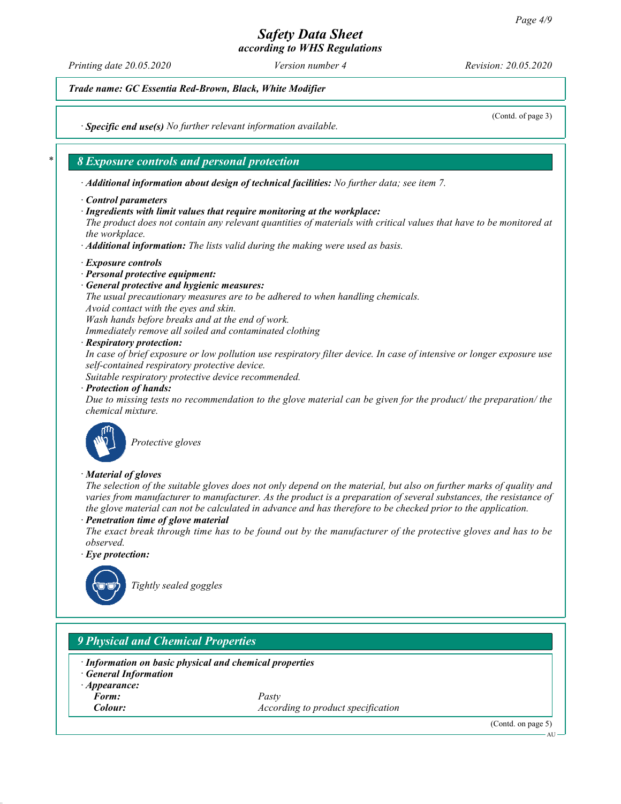according to WHS Regulations

Printing date 20.05.2020 Version number 4 Revision: 20.05.2020

(Contd. of page 3)

Trade name: GC Essentia Red-Brown, Black, White Modifier

· Specific end use(s) No further relevant information available.

## 8 Exposure controls and personal protection

· Additional information about design of technical facilities: No further data; see item 7.

- · Control parameters
- · Ingredients with limit values that require monitoring at the workplace:

The product does not contain any relevant quantities of materials with critical values that have to be monitored at the workplace.

· Additional information: The lists valid during the making were used as basis.

- · Exposure controls
- · Personal protective equipment:
- · General protective and hygienic measures:

The usual precautionary measures are to be adhered to when handling chemicals.

Avoid contact with the eyes and skin.

Wash hands before breaks and at the end of work.

Immediately remove all soiled and contaminated clothing

· Respiratory protection:

In case of brief exposure or low pollution use respiratory filter device. In case of intensive or longer exposure use self-contained respiratory protective device.

Suitable respiratory protective device recommended.

#### · Protection of hands:

Due to missing tests no recommendation to the glove material can be given for the product/ the preparation/ the chemical mixture.



Protective gloves

### · Material of gloves

The selection of the suitable gloves does not only depend on the material, but also on further marks of quality and varies from manufacturer to manufacturer. As the product is a preparation of several substances, the resistance of the glove material can not be calculated in advance and has therefore to be checked prior to the application.

### Penetration time of glove material

The exact break through time has to be found out by the manufacturer of the protective gloves and has to be observed.

· Eye protection:



Tightly sealed goggles

## 9 Physical and Chemical Properties

Information on basic physical and chemical properties

- · General Information
- · Appearance:
	- Form: Pasty

**Colour:**  $\qquad \qquad$  *According to product specification* 

(Contd. on page 5)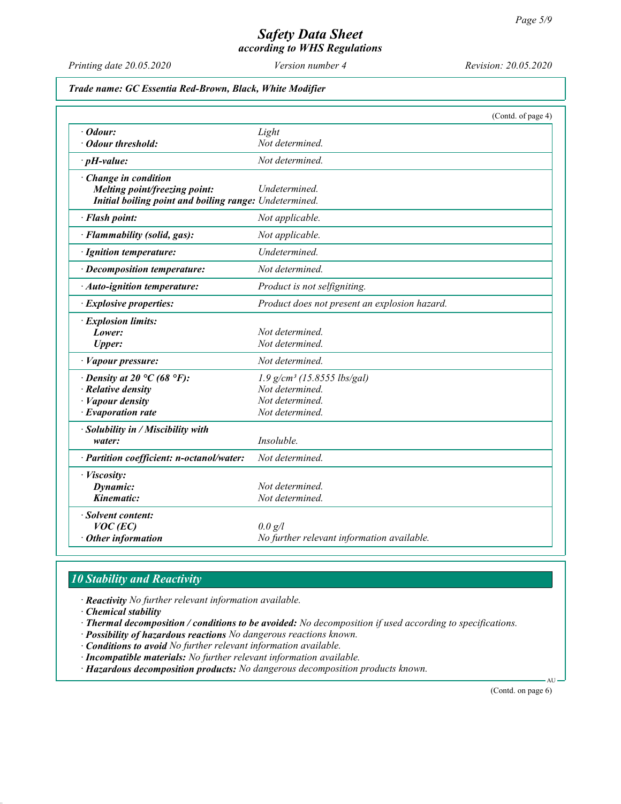according to WHS Regulations

Printing date 20.05.2020 Version number 4 Revision: 20.05.2020

Trade name: GC Essentia Red-Brown, Black, White Modifier

|                                                        |                                               | (Contd. of page 4) |
|--------------------------------------------------------|-----------------------------------------------|--------------------|
| $\cdot$ Odour:                                         | Light                                         |                    |
| · Odour threshold:                                     | Not determined.                               |                    |
| $\cdot$ pH-value:                                      | Not determined.                               |                    |
| · Change in condition                                  |                                               |                    |
| Melting point/freezing point:                          | Undetermined.                                 |                    |
| Initial boiling point and boiling range: Undetermined. |                                               |                    |
| · Flash point:                                         | Not applicable.                               |                    |
| · Flammability (solid, gas):                           | Not applicable.                               |                    |
| · Ignition temperature:                                | Undetermined.                                 |                    |
| · Decomposition temperature:                           | Not determined.                               |                    |
| · Auto-ignition temperature:                           | Product is not selfigniting.                  |                    |
| · Explosive properties:                                | Product does not present an explosion hazard. |                    |
| · Explosion limits:                                    |                                               |                    |
| Lower:                                                 | Not determined.                               |                    |
| <b>Upper:</b>                                          | Not determined.                               |                    |
| · Vapour pressure:                                     | Not determined.                               |                    |
| $\cdot$ Density at 20 °C (68 °F):                      | $1.9$ g/cm <sup>3</sup> (15.8555 lbs/gal)     |                    |
| $\cdot$ Relative density                               | Not determined.                               |                    |
| · Vapour density                                       | Not determined.                               |                    |
| $\cdot$ Evaporation rate                               | Not determined.                               |                    |
| $\cdot$ Solubility in / Miscibility with               |                                               |                    |
| water:                                                 | Insoluble.                                    |                    |
| · Partition coefficient: n-octanol/water:              | Not determined.                               |                    |
| · Viscosity:                                           |                                               |                    |
| Dynamic:                                               | Not determined.                               |                    |
| Kinematic:                                             | Not determined.                               |                    |
| · Solvent content:                                     |                                               |                    |
| $VOC$ (EC)                                             | $0.0 \text{ g}/l$                             |                    |
| $\cdot$ Other information                              | No further relevant information available.    |                    |

# 10 Stability and Reactivity

· Reactivity No further relevant information available.

· Chemical stability

· Thermal decomposition / conditions to be avoided: No decomposition if used according to specifications.

· Possibility of hazardous reactions No dangerous reactions known.

· Conditions to avoid No further relevant information available.

· Incompatible materials: No further relevant information available.

· Hazardous decomposition products: No dangerous decomposition products known.

(Contd. on page 6)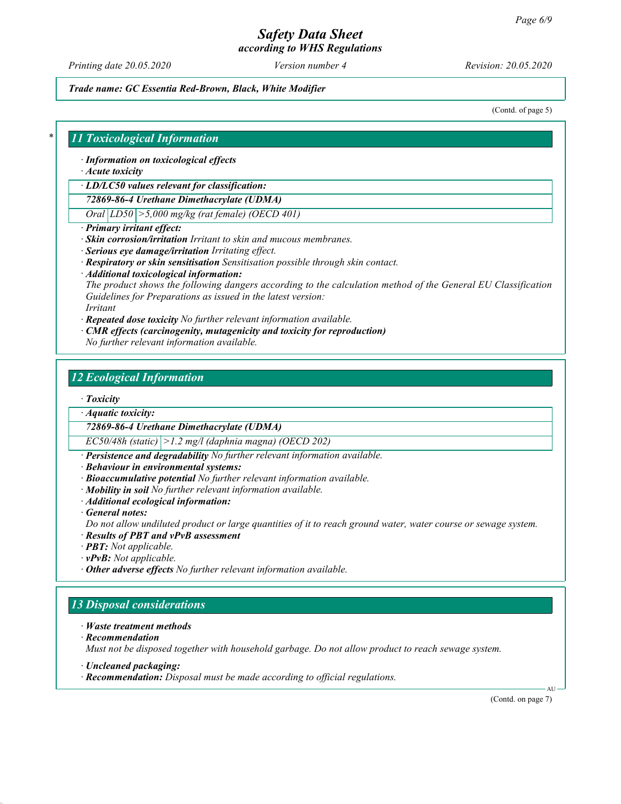according to WHS Regulations

Printing date 20.05.2020 Version number 4 Revision: 20.05.2020

Trade name: GC Essentia Red-Brown, Black, White Modifier

(Contd. of page 5)

### 11 Toxicological Information

· Information on toxicological effects

· Acute toxicity

· LD/LC50 values relevant for classification:

72869-86-4 Urethane Dimethacrylate (UDMA)

 $Oral |LD50| > 5,000$  mg/kg (rat female) (OECD 401)

- · Primary irritant effect:
- · Skin corrosion/irritation Irritant to skin and mucous membranes.
- · Serious eye damage/irritation Irritating effect.
- · Respiratory or skin sensitisation Sensitisation possible through skin contact.
- · Additional toxicological information:

The product shows the following dangers according to the calculation method of the General EU Classification Guidelines for Preparations as issued in the latest version:

Irritant

· Repeated dose toxicity No further relevant information available.

- · CMR effects (carcinogenity, mutagenicity and toxicity for reproduction)
- No further relevant information available.

## 12 Ecological Information

· Toxicity

· Aquatic toxicity:

72869-86-4 Urethane Dimethacrylate (UDMA)

 $EC50/48h$  (static)  $|>1.2$  mg/l (daphnia magna) (OECD 202)

· Persistence and degradability No further relevant information available.

· Behaviour in environmental systems:

- · Bioaccumulative potential No further relevant information available.
- · Mobility in soil No further relevant information available.
- · Additional ecological information:

· General notes:

Do not allow undiluted product or large quantities of it to reach ground water, water course or sewage system.

- · Results of PBT and vPvB assessment
- · **PBT:** Not applicable.
- · vPvB: Not applicable.
- · Other adverse effects No further relevant information available.

## 13 Disposal considerations

- · Waste treatment methods
- · Recommendation

Must not be disposed together with household garbage. Do not allow product to reach sewage system.

- · Uncleaned packaging:
- · Recommendation: Disposal must be made according to official regulations.

(Contd. on page 7)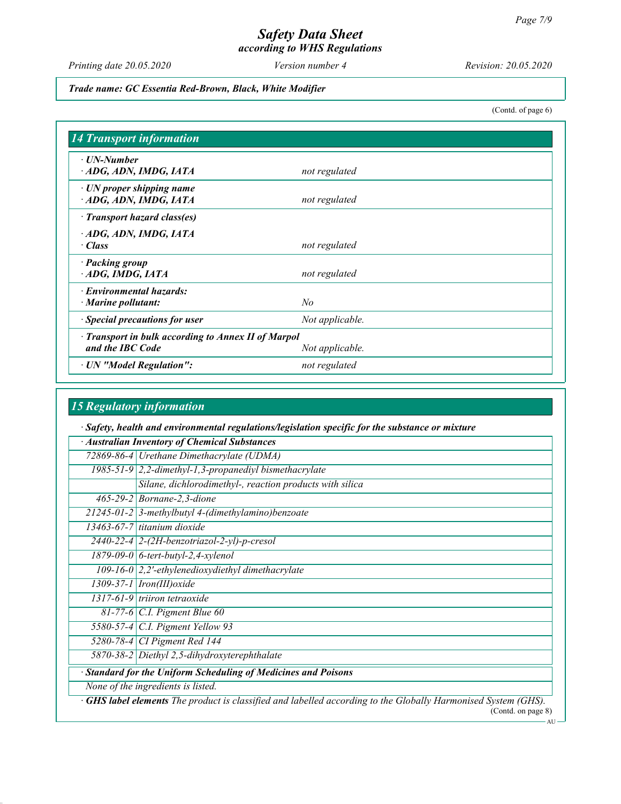according to WHS Regulations

Printing date 20.05.2020 Version number 4 Revision: 20.05.2020

(Contd. of page 6)

Trade name: GC Essentia Red-Brown, Black, White Modifier

14 Transport information · UN-Number  $\cdot$  ADG, ADN, IMDG, IATA not regulated · UN proper shipping name  $\cdot$  ADG, ADN, IMDG, IATA not regulated · Transport hazard class(es) · ADG, ADN, IMDG, IATA · Class not regulated · Packing group  $\cdot$  ADG, IMDG, IATA not regulated · Environmental hazards: · Marine pollutant: No  $\cdot$  Special precautions for user  $\cdot$  Not applicable. · Transport in bulk according to Annex II of Marpol and the IBC Code Not applicable. · UN "Model Regulation": not regulated

### 15 Regulatory information

· Safety, health and environmental regulations/legislation specific for the substance or mixture

| Australian Inventory of Chemical Substances                         |                                                                                                              |  |
|---------------------------------------------------------------------|--------------------------------------------------------------------------------------------------------------|--|
|                                                                     | 72869-86-4 Urethane Dimethacrylate (UDMA)                                                                    |  |
|                                                                     | $1985-51-9$ 2,2-dimethyl-1,3-propanediyl bismethacrylate                                                     |  |
|                                                                     | Silane, dichlorodimethyl-, reaction products with silica                                                     |  |
|                                                                     | 465-29-2   Bornane-2, 3-dione                                                                                |  |
|                                                                     | $21245-01-2$ 3-methylbutyl 4-(dimethylamino)benzoate                                                         |  |
|                                                                     | 13463-67-7 titanium dioxide                                                                                  |  |
|                                                                     | $2440 - 22 - 4$ 2- $(2H$ -benzotriazol-2-yl)-p-cresol                                                        |  |
|                                                                     | $1879-09-0$ 6-tert-butyl-2,4-xylenol                                                                         |  |
|                                                                     | $109-16-0$ 2,2'-ethylenedioxydiethyl dimethacrylate                                                          |  |
|                                                                     | 1309-37-1   Iron(III) oxide                                                                                  |  |
|                                                                     | $1317-61-9$ triiron tetraoxide                                                                               |  |
|                                                                     | 81-77-6 $ C.I.$ Pigment Blue 60                                                                              |  |
|                                                                     | 5580-57-4 C.I. Pigment Yellow 93                                                                             |  |
|                                                                     | 5280-78-4 CI Pigment Red 144                                                                                 |  |
|                                                                     | 5870-38-2 Diethyl 2,5-dihydroxyterephthalate                                                                 |  |
| <b>Standard for the Uniform Scheduling of Medicines and Poisons</b> |                                                                                                              |  |
| None of the ingredients is listed.                                  |                                                                                                              |  |
|                                                                     | GHS label elements The product is classified and labelled according to the Globally Harmonised System (GHS). |  |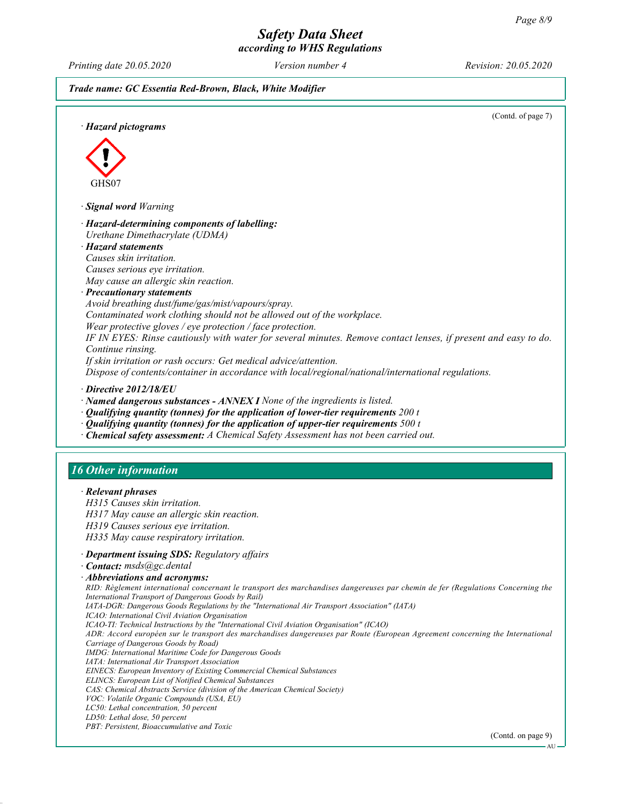## Safety Data Sheet according to WHS Regulations

Printing date 20.05.2020 Version number 4 Revision: 20.05.2020

Trade name: GC Essentia Red-Brown, Black, White Modifier